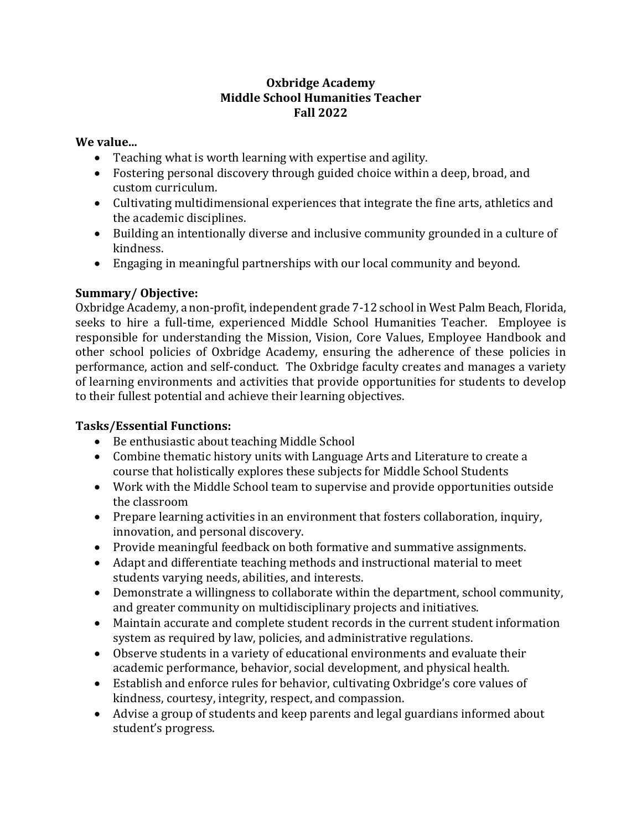### **Oxbridge Academy Middle School Humanities Teacher Fall 2022**

### **We value...**

- Teaching what is worth learning with expertise and agility.
- Fostering personal discovery through guided choice within a deep, broad, and custom curriculum.
- Cultivating multidimensional experiences that integrate the fine arts, athletics and the academic disciplines.
- Building an intentionally diverse and inclusive community grounded in a culture of kindness.
- Engaging in meaningful partnerships with our local community and beyond.

# **Summary/ Objective:**

Oxbridge Academy, a non-profit, independent grade 7-12 school in West Palm Beach, Florida, seeks to hire a full-time, experienced Middle School Humanities Teacher. Employee is responsible for understanding the Mission, Vision, Core Values, Employee Handbook and other school policies of Oxbridge Academy, ensuring the adherence of these policies in performance, action and self-conduct. The Oxbridge faculty creates and manages a variety of learning environments and activities that provide opportunities for students to develop to their fullest potential and achieve their learning objectives.

## **Tasks/Essential Functions:**

- Be enthusiastic about teaching Middle School
- Combine thematic history units with Language Arts and Literature to create a course that holistically explores these subjects for Middle School Students
- Work with the Middle School team to supervise and provide opportunities outside the classroom
- Prepare learning activities in an environment that fosters collaboration, inquiry, innovation, and personal discovery.
- Provide meaningful feedback on both formative and summative assignments.
- Adapt and differentiate teaching methods and instructional material to meet students varying needs, abilities, and interests.
- Demonstrate a willingness to collaborate within the department, school community, and greater community on multidisciplinary projects and initiatives.
- Maintain accurate and complete student records in the current student information system as required by law, policies, and administrative regulations.
- Observe students in a variety of educational environments and evaluate their academic performance, behavior, social development, and physical health.
- Establish and enforce rules for behavior, cultivating Oxbridge's core values of kindness, courtesy, integrity, respect, and compassion.
- Advise a group of students and keep parents and legal guardians informed about student's progress.